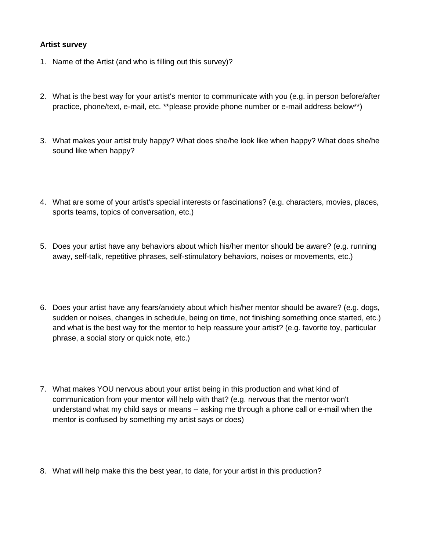## **Artist survey**

- 1. Name of the Artist (and who is filling out this survey)?
- 2. What is the best way for your artist's mentor to communicate with you (e.g. in person before/after practice, phone/text, e-mail, etc. \*\*please provide phone number or e-mail address below\*\*)
- 3. What makes your artist truly happy? What does she/he look like when happy? What does she/he sound like when happy?
- 4. What are some of your artist's special interests or fascinations? (e.g. characters, movies, places, sports teams, topics of conversation, etc.)
- 5. Does your artist have any behaviors about which his/her mentor should be aware? (e.g. running away, self-talk, repetitive phrases, self-stimulatory behaviors, noises or movements, etc.)
- 6. Does your artist have any fears/anxiety about which his/her mentor should be aware? (e.g. dogs, sudden or noises, changes in schedule, being on time, not finishing something once started, etc.) and what is the best way for the mentor to help reassure your artist? (e.g. favorite toy, particular phrase, a social story or quick note, etc.)
- 7. What makes YOU nervous about your artist being in this production and what kind of communication from your mentor will help with that? (e.g. nervous that the mentor won't understand what my child says or means -- asking me through a phone call or e-mail when the mentor is confused by something my artist says or does)
- 8. What will help make this the best year, to date, for your artist in this production?